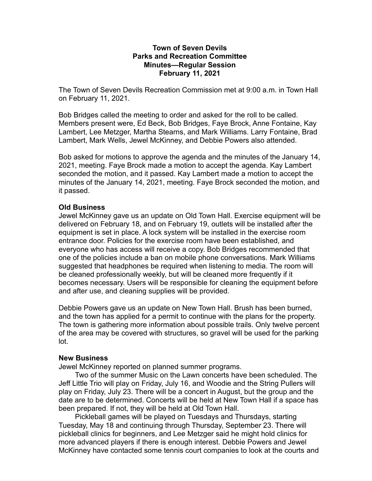## **Town of Seven Devils Parks and Recreation Committee Minutes—Regular Session February 11, 2021**

The Town of Seven Devils Recreation Commission met at 9:00 a.m. in Town Hall on February 11, 2021.

Bob Bridges called the meeting to order and asked for the roll to be called. Members present were, Ed Beck, Bob Bridges, Faye Brock, Anne Fontaine, Kay Lambert, Lee Metzger, Martha Stearns, and Mark Williams. Larry Fontaine, Brad Lambert, Mark Wells, Jewel McKinney, and Debbie Powers also attended.

Bob asked for motions to approve the agenda and the minutes of the January 14, 2021, meeting. Faye Brock made a motion to accept the agenda. Kay Lambert seconded the motion, and it passed. Kay Lambert made a motion to accept the minutes of the January 14, 2021, meeting. Faye Brock seconded the motion, and it passed.

## **Old Business**

Jewel McKinney gave us an update on Old Town Hall. Exercise equipment will be delivered on February 18, and on February 19, outlets will be installed after the equipment is set in place. A lock system will be installed in the exercise room entrance door. Policies for the exercise room have been established, and everyone who has access will receive a copy. Bob Bridges recommended that one of the policies include a ban on mobile phone conversations. Mark Williams suggested that headphones be required when listening to media. The room will be cleaned professionally weekly, but will be cleaned more frequently if it becomes necessary. Users will be responsible for cleaning the equipment before and after use, and cleaning supplies will be provided.

Debbie Powers gave us an update on New Town Hall. Brush has been burned, and the town has applied for a permit to continue with the plans for the property. The town is gathering more information about possible trails. Only twelve percent of the area may be covered with structures, so gravel will be used for the parking lot.

## **New Business**

Jewel McKinney reported on planned summer programs.

Two of the summer Music on the Lawn concerts have been scheduled. The Jeff Little Trio will play on Friday, July 16, and Woodie and the String Pullers will play on Friday, July 23. There will be a concert in August, but the group and the date are to be determined. Concerts will be held at New Town Hall if a space has been prepared. If not, they will be held at Old Town Hall.

Pickleball games will be played on Tuesdays and Thursdays, starting Tuesday, May 18 and continuing through Thursday, September 23. There will pickleball clinics for beginners, and Lee Metzger said he might hold clinics for more advanced players if there is enough interest. Debbie Powers and Jewel McKinney have contacted some tennis court companies to look at the courts and